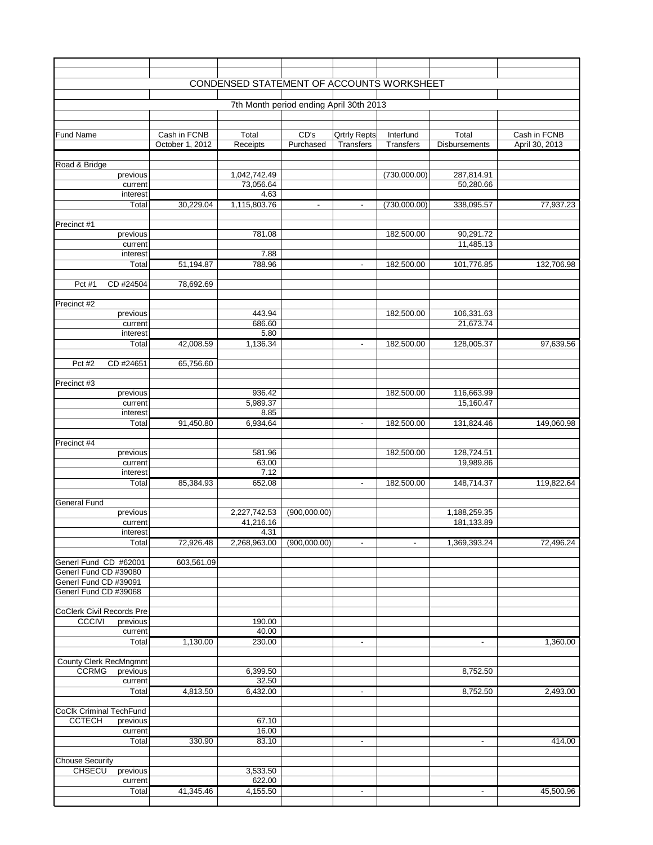|                                                   |                 | CONDENSED STATEMENT OF ACCOUNTS WORKSHEET |                                         |                     |                  |                          |                |
|---------------------------------------------------|-----------------|-------------------------------------------|-----------------------------------------|---------------------|------------------|--------------------------|----------------|
|                                                   |                 |                                           | 7th Month period ending April 30th 2013 |                     |                  |                          |                |
|                                                   |                 |                                           |                                         |                     |                  |                          |                |
|                                                   |                 |                                           |                                         |                     |                  |                          |                |
| <b>Fund Name</b>                                  | Cash in FCNB    | Total                                     | CD's                                    | <b>Qrtrly Repts</b> | Interfund        | Total                    | Cash in FCNB   |
|                                                   | October 1, 2012 | Receipts                                  | Purchased                               | <b>Transfers</b>    | <b>Transfers</b> | <b>Disbursements</b>     | April 30, 2013 |
|                                                   |                 |                                           |                                         |                     |                  |                          |                |
| Road & Bridge<br>previous                         |                 | 1,042,742.49                              |                                         |                     | (730,000.00)     | 287,814.91               |                |
| current                                           |                 | 73,056.64                                 |                                         |                     |                  | 50,280.66                |                |
| interest                                          |                 | 4.63                                      |                                         |                     |                  |                          |                |
| Total                                             | 30,229.04       | 1,115,803.76                              | $\overline{\phantom{a}}$                | $\blacksquare$      | (730,000.00)     | 338,095.57               | 77,937.23      |
|                                                   |                 |                                           |                                         |                     |                  |                          |                |
| Precinct #1<br>previous                           |                 | 781.08                                    |                                         |                     | 182,500.00       | 90,291.72                |                |
| current                                           |                 |                                           |                                         |                     |                  | 11,485.13                |                |
| interest                                          |                 | 7.88                                      |                                         |                     |                  |                          |                |
| Total                                             | 51,194.87       | 788.96                                    |                                         | $\sim$              | 182,500.00       | 101,776.85               | 132,706.98     |
|                                                   |                 |                                           |                                         |                     |                  |                          |                |
| CD #24504<br>Pct #1                               | 78,692.69       |                                           |                                         |                     |                  |                          |                |
| Precinct #2                                       |                 |                                           |                                         |                     |                  |                          |                |
| previous                                          |                 | 443.94                                    |                                         |                     | 182,500.00       | 106,331.63               |                |
| current                                           |                 | 686.60                                    |                                         |                     |                  | 21,673.74                |                |
| interest                                          |                 | 5.80                                      |                                         |                     |                  |                          |                |
| Total                                             | 42,008.59       | 1,136.34                                  |                                         | $\sim$              | 182,500.00       | 128,005.37               | 97,639.56      |
| Pct #2<br>CD #24651                               |                 |                                           |                                         |                     |                  |                          |                |
|                                                   | 65,756.60       |                                           |                                         |                     |                  |                          |                |
| Precinct #3                                       |                 |                                           |                                         |                     |                  |                          |                |
| previous                                          |                 | 936.42                                    |                                         |                     | 182,500.00       | 116,663.99               |                |
| current                                           |                 | 5,989.37                                  |                                         |                     |                  | 15,160.47                |                |
| interest                                          |                 | 8.85                                      |                                         |                     |                  |                          |                |
| Total                                             | 91,450.80       | 6,934.64                                  |                                         | $\blacksquare$      | 182,500.00       | 131,824.46               | 149,060.98     |
| Precinct #4                                       |                 |                                           |                                         |                     |                  |                          |                |
| previous                                          |                 | 581.96                                    |                                         |                     | 182,500.00       | 128,724.51               |                |
| current                                           |                 | 63.00                                     |                                         |                     |                  | 19,989.86                |                |
| interest                                          |                 | 7.12                                      |                                         |                     |                  |                          |                |
| Total                                             | 85,384.93       | 652.08                                    |                                         | $\blacksquare$      | 182,500.00       | 148,714.37               | 119,822.64     |
| <b>General Fund</b>                               |                 |                                           |                                         |                     |                  |                          |                |
| previous                                          |                 | 2,227,742.53                              | (900,000.00)                            |                     |                  | 1,188,259.35             |                |
| current                                           |                 | 41,216.16                                 |                                         |                     |                  | 181,133.89               |                |
| interest                                          |                 | 4.31                                      |                                         |                     |                  |                          |                |
| Total                                             | 72,926.48       | 2,268,963.00                              | (900,000.00)                            | $\sim$              | $\blacksquare$   | 1,369,393.24             | 72,496.24      |
| Generl Fund CD #62001                             | 603,561.09      |                                           |                                         |                     |                  |                          |                |
| Generl Fund CD #39080                             |                 |                                           |                                         |                     |                  |                          |                |
| Generl Fund CD #39091                             |                 |                                           |                                         |                     |                  |                          |                |
| Generl Fund CD #39068                             |                 |                                           |                                         |                     |                  |                          |                |
|                                                   |                 |                                           |                                         |                     |                  |                          |                |
| <b>CoClerk Civil Records Pre</b><br><b>CCCIVI</b> |                 | 190.00                                    |                                         |                     |                  |                          |                |
| previous<br>current                               |                 | 40.00                                     |                                         |                     |                  |                          |                |
| Total                                             | 1,130.00        | 230.00                                    |                                         | $\blacksquare$      |                  | $\blacksquare$           | 1,360.00       |
|                                                   |                 |                                           |                                         |                     |                  |                          |                |
| <b>County Clerk RecMngmnt</b>                     |                 |                                           |                                         |                     |                  |                          |                |
| <b>CCRMG</b><br>previous                          |                 | 6,399.50                                  |                                         |                     |                  | 8,752.50                 |                |
| current<br>Total                                  | 4,813.50        | 32.50                                     |                                         |                     |                  | 8,752.50                 |                |
|                                                   |                 | 6,432.00                                  |                                         | ۰                   |                  |                          | 2,493.00       |
| <b>CoClk Criminal TechFund</b>                    |                 |                                           |                                         |                     |                  |                          |                |
| <b>CCTECH</b><br>previous                         |                 | 67.10                                     |                                         |                     |                  |                          |                |
| current                                           |                 | 16.00                                     |                                         |                     |                  |                          |                |
| Total                                             | 330.90          | 83.10                                     |                                         | $\blacksquare$      |                  | $\blacksquare$           | 414.00         |
| <b>Chouse Security</b>                            |                 |                                           |                                         |                     |                  |                          |                |
| <b>CHSECU</b><br>previous                         |                 | 3,533.50                                  |                                         |                     |                  |                          |                |
| current                                           |                 | 622.00                                    |                                         |                     |                  |                          |                |
| Total                                             | 41,345.46       | 4,155.50                                  |                                         | ٠                   |                  | $\overline{\phantom{a}}$ | 45,500.96      |
|                                                   |                 |                                           |                                         |                     |                  |                          |                |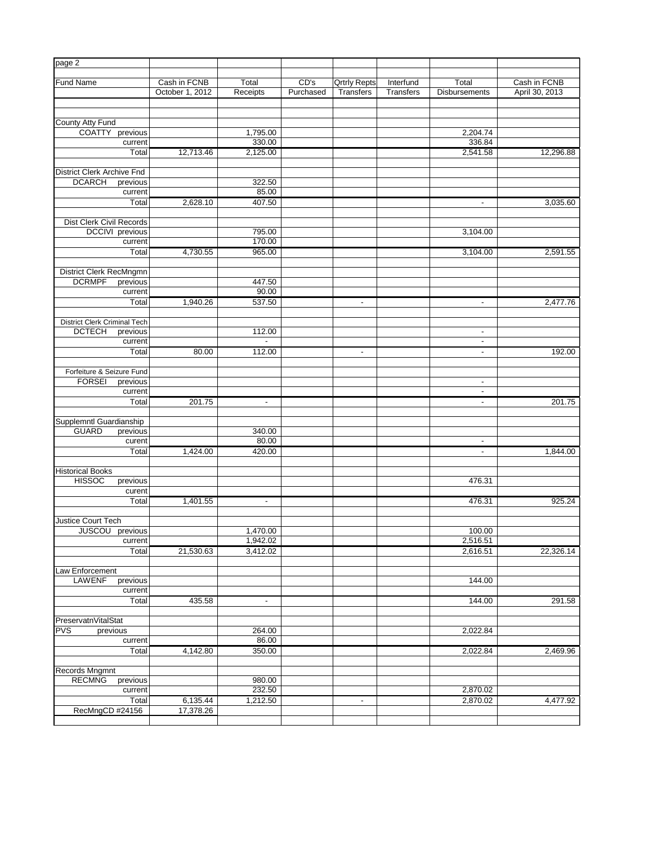| page 2                                          |                 |                |           |                     |                  |                          |                |
|-------------------------------------------------|-----------------|----------------|-----------|---------------------|------------------|--------------------------|----------------|
| <b>Fund Name</b>                                | Cash in FCNB    | Total          | CD's      | <b>Qrtrly Repts</b> | Interfund        | Total                    | Cash in FCNB   |
|                                                 | October 1, 2012 | Receipts       | Purchased | <b>Transfers</b>    | <b>Transfers</b> | <b>Disbursements</b>     | April 30, 2013 |
|                                                 |                 |                |           |                     |                  |                          |                |
| County Atty Fund                                |                 |                |           |                     |                  |                          |                |
| <b>COATTY</b><br>previous                       |                 | 1,795.00       |           |                     |                  | 2,204.74                 |                |
| current                                         |                 | 330.00         |           |                     |                  | 336.84                   |                |
| Total                                           | 12,713.46       | 2,125.00       |           |                     |                  | 2,541.58                 | 12,296.88      |
|                                                 |                 |                |           |                     |                  |                          |                |
| <b>District Clerk Archive Fnd</b>               |                 |                |           |                     |                  |                          |                |
| <b>DCARCH</b><br>previous                       |                 | 322.50         |           |                     |                  |                          |                |
| current                                         |                 | 85.00          |           |                     |                  |                          |                |
| Total                                           | 2,628.10        | 407.50         |           |                     |                  | $\overline{\phantom{a}}$ | 3,035.60       |
|                                                 |                 |                |           |                     |                  |                          |                |
| Dist Clerk Civil Records                        |                 |                |           |                     |                  |                          |                |
| DCCIVI previous                                 |                 | 795.00         |           |                     |                  | 3,104.00                 |                |
| current                                         |                 | 170.00         |           |                     |                  |                          |                |
| Total                                           | 4,730.55        | 965.00         |           |                     |                  | 3,104.00                 | 2,591.55       |
|                                                 |                 |                |           |                     |                  |                          |                |
| District Clerk RecMngmn                         |                 |                |           |                     |                  |                          |                |
| <b>DCRMPF</b><br>previous                       |                 | 447.50         |           |                     |                  |                          |                |
| current                                         |                 | 90.00          |           |                     |                  |                          |                |
| Total                                           | 1,940.26        | 537.50         |           | $\blacksquare$      |                  | $\blacksquare$           | 2,477.76       |
|                                                 |                 |                |           |                     |                  |                          |                |
| <b>District Clerk Criminal Tech</b>             |                 |                |           |                     |                  |                          |                |
| <b>DCTECH</b><br>previous                       |                 | 112.00         |           |                     |                  | $\blacksquare$           |                |
| current                                         |                 |                |           |                     |                  | $\overline{\phantom{a}}$ |                |
| Total                                           | 80.00           | 112.00         |           | $\sim$              |                  | $\sim$                   | 192.00         |
|                                                 |                 |                |           |                     |                  |                          |                |
| Forfeiture & Seizure Fund                       |                 |                |           |                     |                  |                          |                |
| <b>FORSEI</b><br>previous                       |                 |                |           |                     |                  | $\blacksquare$           |                |
| current                                         |                 |                |           |                     |                  | $\blacksquare$           |                |
| Total                                           | 201.75          | $\blacksquare$ |           |                     |                  | $\blacksquare$           | 201.75         |
|                                                 |                 |                |           |                     |                  |                          |                |
| Supplemntl Guardianship                         |                 |                |           |                     |                  |                          |                |
| <b>GUARD</b><br>previous                        |                 | 340.00         |           |                     |                  |                          |                |
| curent                                          |                 | 80.00          |           |                     |                  | $\blacksquare$           |                |
| Total                                           | 1,424.00        | 420.00         |           |                     |                  | $\blacksquare$           | 1,844.00       |
|                                                 |                 |                |           |                     |                  |                          |                |
| <b>Historical Books</b><br><b>HISSOC</b>        |                 |                |           |                     |                  | 476.31                   |                |
| previous<br>curent                              |                 |                |           |                     |                  |                          |                |
| Total                                           | 1,401.55        |                |           |                     |                  | 476.31                   | 925.24         |
|                                                 |                 | $\blacksquare$ |           |                     |                  |                          |                |
| <b>Justice Court Tech</b>                       |                 |                |           |                     |                  |                          |                |
| $\overline{\mathsf{previous}}$<br><b>JUSCOU</b> |                 | 1,470.00       |           |                     |                  | 100.00                   |                |
| current                                         |                 | 1,942.02       |           |                     |                  | 2,516.51                 |                |
| Total                                           | 21,530.63       | 3,412.02       |           |                     |                  | 2,616.51                 | 22,326.14      |
|                                                 |                 |                |           |                     |                  |                          |                |
| Law Enforcement                                 |                 |                |           |                     |                  |                          |                |
| <b>LAWENF</b><br>previous                       |                 |                |           |                     |                  | 144.00                   |                |
| current                                         |                 |                |           |                     |                  |                          |                |
| Total                                           | 435.58          | $\blacksquare$ |           |                     |                  | 144.00                   | 291.58         |
|                                                 |                 |                |           |                     |                  |                          |                |
| PreservatnVitalStat                             |                 |                |           |                     |                  |                          |                |
| <b>PVS</b><br>previous                          |                 | 264.00         |           |                     |                  | 2,022.84                 |                |
| current                                         |                 | 86.00          |           |                     |                  |                          |                |
| Total                                           | 4,142.80        | 350.00         |           |                     |                  | 2,022.84                 | 2,469.96       |
|                                                 |                 |                |           |                     |                  |                          |                |
| Records Mngmnt                                  |                 |                |           |                     |                  |                          |                |
| <b>RECMNG</b><br>previous                       |                 | 980.00         |           |                     |                  |                          |                |
| current                                         |                 | 232.50         |           |                     |                  | 2,870.02                 |                |
| Total                                           | 6,135.44        | 1,212.50       |           | ٠                   |                  | 2,870.02                 | 4,477.92       |
| RecMngCD #24156                                 | 17,378.26       |                |           |                     |                  |                          |                |
|                                                 |                 |                |           |                     |                  |                          |                |